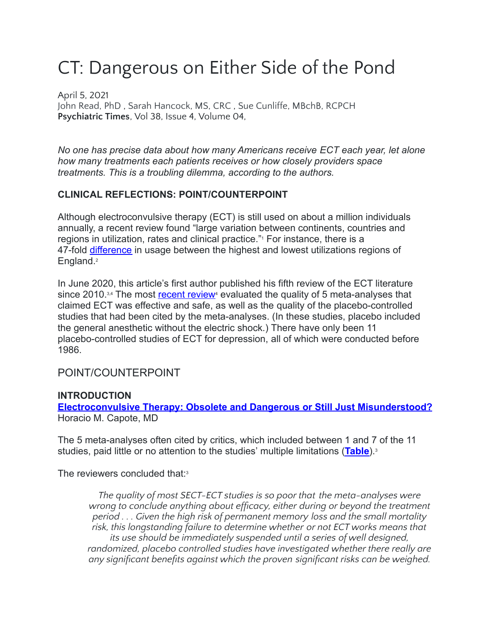# CT: Dangerous on Either Side of the Pond

April 5, 2021 John [Read,](https://www.psychiatrictimes.com/authors/john-read-phd) PhD , Sarah [Hancock,](https://www.psychiatrictimes.com/authors/sarah-hancock-ms-crc) MS, CRC , Sue [Cunliffe,](https://www.psychiatrictimes.com/authors/sue-cunliffe-mbchb-rcpch) MBchB, RCPCH **Psychiatric Times**, Vol 38, Issue 4, Volume 04,

*No one has precise data about how many Americans receive ECT each year, let alone how many treatments each patients receives or how closely providers space treatments. This is a troubling dilemma, according to the authors.*

# **CLINICAL REFLECTIONS: POINT/COUNTERPOINT**

Although electroconvulsive therapy (ECT) is still used on about a million individuals annually, a recent review found "large variation between continents, countries and regions in utilization, rates and clinical practice."<sup>1</sup> For instance, there is a 47-fold [difference](https://repository.uel.ac.uk/item/8905w) in usage between the highest and lowest utilizations regions of England.<sup>2</sup>

In June 2020, this article's first author published his fifth review of the ECT literature since 2010. $3,4$  The most [recent review](https://pubmed.ncbi.nlm.nih.gov/21322506/)<sup>4</sup> evaluated the quality of 5 meta-analyses that claimed ECT was effective and safe, as well as the quality of the placebo-controlled studies that had been cited by the meta-analyses. (In these studies, placebo included the general anesthetic without the electric shock.) There have only been 11 placebo-controlled studies of ECT for depression, all of which were conducted before 1986.

POINT/COUNTERPOINT

#### **INTRODUCTION**

**[Electroconvulsive Therapy: Obsolete and Dangerous](https://www.psychiatrictimes.com/view/electroconvulsive-therapy-obsolete-dangerous-still-just-misunderstood) or Still Just Misunderstood?** Horacio M. Capote, MD

The 5 meta-analyses often cited by critics, which included between 1 and 7 of the 11 studies, paid little or no attention to the studies' multiple limitations (**[Table](https://cdn.sanity.io/images/0vv8moc6/psychtimes/94516c6c0d068eee15655bb80519c1f5c994e397-776x556.jpg?auto=format)**).<sup>3</sup>

The reviewers concluded that:<sup>3</sup>

*The quality of most SECT-ECT studies is so poor that the meta-analyses were wrong to conclude anything about efficacy, either during or beyond the treatment period . . . Given the high risk of permanent memory loss and the small mortality risk, this longstanding failure to determine whether or not ECT works means that its use should be immediately suspended until a series of well designed, randomized, placebo controlled studies have investigated whether there really are any significant benefits against which the proven significant risks can be weighed.*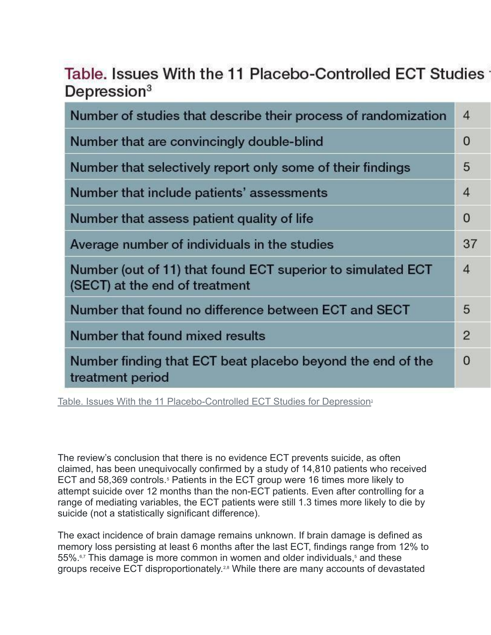# Table. Issues With the 11 Placebo-Controlled ECT Studies Depression<sup>3</sup>

| Number of studies that describe their process of randomization                                | $\overline{4}$ |
|-----------------------------------------------------------------------------------------------|----------------|
| Number that are convincingly double-blind                                                     | 0              |
| Number that selectively report only some of their findings                                    | 5              |
| Number that include patients' assessments                                                     | $\overline{4}$ |
| Number that assess patient quality of life                                                    | 0              |
| Average number of individuals in the studies                                                  | 37             |
| Number (out of 11) that found ECT superior to simulated ECT<br>(SECT) at the end of treatment | $\overline{4}$ |
| Number that found no difference between ECT and SECT                                          | 5              |
| Number that found mixed results                                                               | $\overline{2}$ |
| Number finding that ECT beat placebo beyond the end of the<br>treatment period                | 0              |

[Table. Issues With the 11 Placebo-Controlled ECT Studies](https://cdn.sanity.io/images/0vv8moc6/psychtimes/94516c6c0d068eee15655bb80519c1f5c994e397-776x556.jpg?auto=format) for Depression<sup>3</sup>

The review's conclusion that there is no evidence ECT prevents suicide, as often claimed, has been unequivocally confirmed by a study of 14,810 patients who received ECT and 58,369 controls.<sup>5</sup> Patients in the ECT group were 16 times more likely to attempt suicide over 12 months than the non-ECT patients. Even after controlling for a range of mediating variables, the ECT patients were still 1.3 times more likely to die by suicide (not a statistically significant difference).

The exact incidence of brain damage remains unknown. If brain damage is defined as memory loss persisting at least 6 months after the last ECT, findings range from 12% to 55%.<sup>6,7</sup> This damage is more common in women and older individuals,<sup>5</sup> and these groups receive ECT disproportionately.<sup>2,8</sup> While there are many accounts of devastated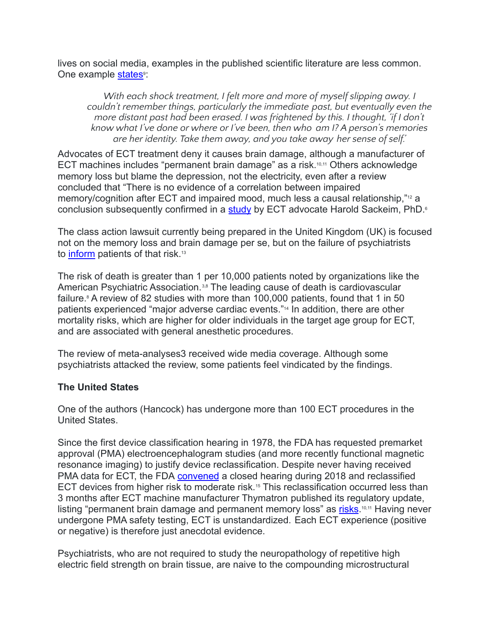lives on social media, examples in the published scientific literature are less common. One example [states](https://www.tandfonline.com/doi/abs/10.1080/09638230410001700916)<sup>®</sup>:

*With each shock treatment, I felt more and more of myself slipping away. I couldn't remember things, particularly the immediate past, but eventually even the more distant past had been erased. I was frightened by this. I thought, 'if I don't know what I've done or where or I've been, then who am I? A person's memories are her identity. Take them away, and you take away her sense of self.'*

Advocates of ECT treatment deny it causes brain damage, although a manufacturer of ECT machines includes "permanent brain damage" as a risk.10,11 Others acknowledge memory loss but blame the depression, not the electricity, even after a review concluded that "There is no evidence of a correlation between impaired memory/cognition after ECT and impaired mood, much less a causal relationship,"<sup>12</sup> a conclusion subsequently confirmed in a [study](https://pubmed.ncbi.nlm.nih.gov/16936712/) by ECT advocate Harold Sackeim, PhD.<sup>6</sup>

The class action lawsuit currently being prepared in the United Kingdom (UK) is focused not on the memory loss and brain damage per se, but on the failure of psychiatrists to [inform](https://www.dailymail.co.uk/news/article-8537431/Dozens-patients-sue-NHS-claims-suffered-brain-damage-having-therapy.html) patients of that risk.<sup>13</sup>

The risk of death is greater than 1 per 10,000 patients noted by organizations like the American Psychiatric Association.<sup>3,8</sup> The leading cause of death is cardiovascular failure.<sup>8</sup> A review of 82 studies with more than 100,000 patients, found that 1 in 50 patients experienced "major adverse cardiac events."<sup>14</sup> In addition, there are other mortality risks, which are higher for older individuals in the target age group for ECT, and are associated with general anesthetic procedures.

The review of meta-analyses3 received wide media coverage. Although some psychiatrists attacked the review, some patients feel vindicated by the findings.

#### **The United States**

One of the authors (Hancock) has undergone more than 100 ECT procedures in the United States.

Since the first device classification hearing in 1978, the FDA has requested premarket approval (PMA) electroencephalogram studies (and more recently functional magnetic resonance imaging) to justify device reclassification. Despite never having received PMA data for ECT, the FDA [convened](https://www.federalregister.gov/documents/2018/12/26/2018-27809/neurological-devices-reclassification-of-electroconvulsive-therapy-devices-effective-date-of) a closed hearing during 2018 and reclassified ECT devices from higher risk to moderate risk.<sup>15</sup> This reclassification occurred less than 3 months after ECT machine manufacturer Thymatron published its regulatory update, listing "permanent brain damage and permanent memory loss" as [risks](http://www.dk4law.com/blog/dk-law-group-news/ect-shock-treatment-litigation-case-update-june-2019/).<sup>10,11</sup> Having never undergone PMA safety testing, ECT is unstandardized. Each ECT experience (positive or negative) is therefore just anecdotal evidence.

Psychiatrists, who are not required to study the neuropathology of repetitive high electric field strength on brain tissue, are naive to the compounding microstructural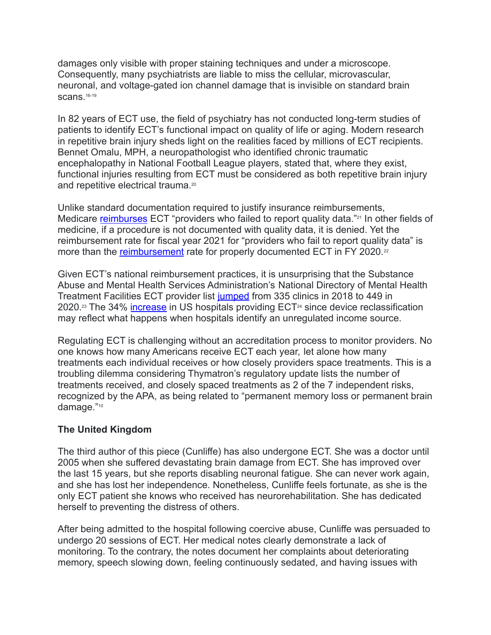damages only visible with proper staining techniques and under a microscope. Consequently, many psychiatrists are liable to miss the cellular, microvascular, neuronal, and voltage-gated ion channel damage that is invisible on standard brain scans.<sup>16-19</sup>

In 82 years of ECT use, the field of psychiatry has not conducted long-term studies of patients to identify ECT's functional impact on quality of life or aging. Modern research in repetitive brain injury sheds light on the realities faced by millions of ECT recipients. Bennet Omalu, MPH, a neuropathologist who identified chronic traumatic encephalopathy in National Football League players, stated that, where they exist, functional injuries resulting from ECT must be considered as both repetitive brain injury and repetitive electrical trauma.<sup>20</sup>

Unlike standard documentation required to justify insurance reimbursements, Medicare [reimburses](https://www.regulations.gov/document?D=CMS-2019-0067-0002) ECT "providers who failed to report quality data."<sup>21</sup> In other fields of medicine, if a procedure is not documented with quality data, it is denied. Yet the reimbursement rate for fiscal year 2021 for "providers who fail to report quality data" is more than the [reimbursement](https://protect-eu.mimecast.com/s/490WC1jllhEmV6OtG0zSK?domain=govinfo.gov) rate for properly documented ECT in FY 2020.<sup>22</sup>

Given ECT's national reimbursement practices, it is unsurprising that the Substance Abuse and Mental Health Services Administration's National Directory of Mental Health Treatment Facilities ECT provider list [jumped](https://www.samhsa.gov/data/sites/default/files/cbhsq-reports/nmhss_directory_2018.pdf) from 335 clinics in 2018 to 449 in 2020.<sup>23</sup> The 34% [increase](https://www.samhsa.gov/data/report/2020-national-directory-mental-health-treatment-facilities) in US hospitals providing  $ECT<sup>24</sup>$  since device reclassification may reflect what happens when hospitals identify an unregulated income source.

Regulating ECT is challenging without an accreditation process to monitor providers. No one knows how many Americans receive ECT each year, let alone how many treatments each individual receives or how closely providers space treatments. This is a troubling dilemma considering Thymatron's regulatory update lists the number of treatments received, and closely spaced treatments as 2 of the 7 independent risks, recognized by the APA, as being related to "permanent memory loss or permanent brain damage."<sup>10</sup>

# **The United Kingdom**

The third author of this piece (Cunliffe) has also undergone ECT. She was a doctor until 2005 when she suffered devastating brain damage from ECT. She has improved over the last 15 years, but she reports disabling neuronal fatigue. She can never work again, and she has lost her independence. Nonetheless, Cunliffe feels fortunate, as she is the only ECT patient she knows who received has neurorehabilitation. She has dedicated herself to preventing the distress of others.

After being admitted to the hospital following coercive abuse, Cunliffe was persuaded to undergo 20 sessions of ECT. Her medical notes clearly demonstrate a lack of monitoring. To the contrary, the notes document her complaints about deteriorating memory, speech slowing down, feeling continuously sedated, and having issues with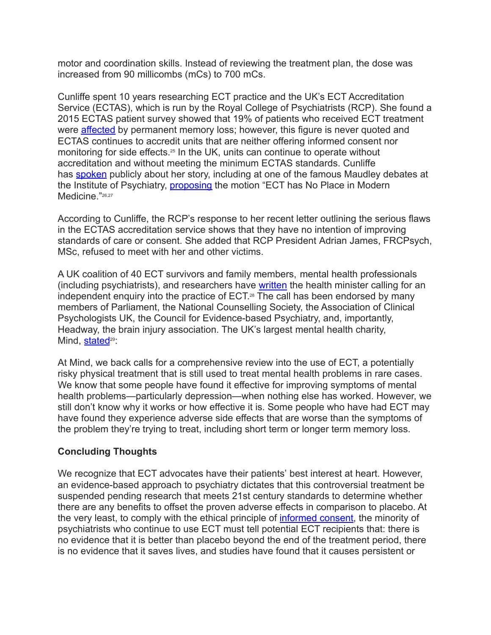motor and coordination skills. Instead of reviewing the treatment plan, the dose was increased from 90 millicombs (mCs) to 700 mCs.

Cunliffe spent 10 years researching ECT practice and the UK's ECT Accreditation Service (ECTAS), which is run by the Royal College of Psychiatrists (RCP). She found a 2015 ECTAS patient survey showed that 19% of patients who received ECT treatment were **[affected](https://www.rcpsych.ac.uk/docs/default-source/improving-care/ccqi/quality-networks/electro-convulsive-therapy-clinics-(ectas)/ectas-interim-report.pdf)** by permanent memory loss; however, this figure is never quoted and ECTAS continues to accredit units that are neither offering informed consent nor monitoring for side effects.<sup>25</sup> In the UK, units can continue to operate without accreditation and without meeting the minimum ECTAS standards. Cunliffe has [spoken](http://www.youtube.com/watch?v=wRWT_UZus94) publicly about her story, including at one of the famous Maudley debates at the Institute of Psychiatry, *[proposing](http://www.youtube.com/watch?v=wRWT_UZus94)* the motion "ECT has No Place in Modern Medicine."26,27

According to Cunliffe, the RCP's response to her recent letter outlining the serious flaws in the ECTAS accreditation service shows that they have no intention of improving standards of care or consent. She added that RCP President Adrian James, FRCPsych, MSc, refused to meet with her and other victims.

A UK coalition of 40 ECT survivors and family members, mental health professionals (including psychiatrists), and researchers have [written](https://www.uel.ac.uk/-/media/staff/r/john-read/call-for-independent-review-of-ect-july-10.ashx) the health minister calling for an independent enquiry into the practice of ECT. <sup>28</sup> The call has been endorsed by many members of Parliament, the National Counselling Society, the Association of Clinical Psychologists UK, the Council for Evidence-based Psychiatry, and, importantly, Headway, the brain injury association. The UK's largest mental health charity, Mind, [stated](https://www.mind.org.uk/news-campaigns/news/mind-is-backing-a-call-to-review-the-use-of-electroconvulsive-therapy-ect/)<sup>29</sup>:

At Mind, we back calls for a comprehensive review into the use of ECT, a potentially risky physical treatment that is still used to treat mental health problems in rare cases. We know that some people have found it effective for improving symptoms of mental health problems—particularly depression—when nothing else has worked. However, we still don't know why it works or how effective it is. Some people who have had ECT may have found they experience adverse side effects that are worse than the symptoms of the problem they're trying to treat, including short term or longer term memory loss.

# **Concluding Thoughts**

We recognize that ECT advocates have their patients' best interest at heart. However, an evidence-based approach to psychiatry dictates that this controversial treatment be suspended pending research that meets 21st century standards to determine whether there are any benefits to offset the proven adverse effects in comparison to placebo. At the very least, to comply with the ethical principle of [informed consent,](https://www.psychiatrictimes.com/view/duty-care-and-informed-consent) the minority of psychiatrists who continue to use ECT must tell potential ECT recipients that: there is no evidence that it is better than placebo beyond the end of the treatment period, there is no evidence that it saves lives, and studies have found that it causes persistent or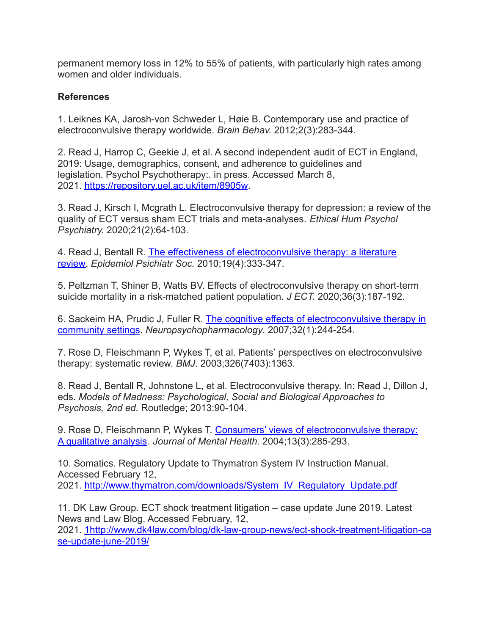permanent memory loss in 12% to 55% of patients, with particularly high rates among women and older individuals.

#### **References**

1. Leiknes KA, Jarosh-von Schweder L, Høie B. Contemporary use and practice of electroconvulsive therapy worldwide. *Brain Behav.* 2012;2(3):283-344.

2. Read J, Harrop C, Geekie J, et al. A second independent audit of ECT in England, 2019: Usage, demographics, consent, and adherence to guidelines and legislation. Psychol Psychotherapy:. in press. Accessed March 8, 2021. <https://repository.uel.ac.uk/item/8905w>.

3. Read J, Kirsch I, Mcgrath L. Electroconvulsive therapy for depression: a review of the quality of ECT versus sham ECT trials and meta-analyses. *Ethical Hum Psychol Psychiatry.* 2020;21(2):64-103.

4. Read J, Bentall R. [The effectiveness of electroconvulsive](https://pubmed.ncbi.nlm.nih.gov/21322506/) therapy: a literature [review.](https://pubmed.ncbi.nlm.nih.gov/21322506/) *Epidemiol Psichiatr Soc.* 2010;19(4):333-347.

5. Peltzman T, Shiner B, Watts BV. Effects of electroconvulsive therapy on short-term suicide mortality in a risk-matched patient population. *J ECT.* 2020;36(3):187-192.

6. Sackeim HA, Prudic J, Fuller R. The cognitive effects [of electroconvulsive therapy in](https://pubmed.ncbi.nlm.nih.gov/16936712/) [community settings.](https://pubmed.ncbi.nlm.nih.gov/16936712/) *Neuropsychopharmacology*. 2007;32(1):244-254.

7. Rose D, Fleischmann P, Wykes T, et al. Patients' perspectives on electroconvulsive therapy: systematic review. *BMJ*. 2003;326(7403):1363.

8. Read J, Bentall R, Johnstone L, et al. Electroconvulsive therapy. In: Read J, Dillon J, eds. *Models of Madness: Psychological, Social and Biological Approaches to Psychosis, 2nd ed.* Routledge; 2013:90-104.

9. Rose D, Fleischmann P, Wykes T. Consumers' views [of electroconvulsive therapy:](https://www.tandfonline.com/doi/abs/10.1080/09638230410001700916) [A qualitative analysis](https://www.tandfonline.com/doi/abs/10.1080/09638230410001700916). *Journal of Mental Health.* 2004;13(3):285-293.

10. Somatics. Regulatory Update to Thymatron System IV Instruction Manual. Accessed February 12, 2021. [http://www.thymatron.com/downloads/System\\_IV\\_Regulatory\\_Update.pdf](http://www.thymatron.com/downloads/System_IV_Regulatory_Update.pdf)

11. DK Law Group. ECT shock treatment litigation – case update June 2019. Latest News and Law Blog. Accessed February, 12, 2021. [1http://www.dk4law.com/blog/dk-law-group-news/ect-shock-treatment-litigation-ca](http://www.dk4law.com/blog/dk-law-group-news/ect-shock-treatment-litigation-case-update-june-2019/) [se-update-june-2019/](http://www.dk4law.com/blog/dk-law-group-news/ect-shock-treatment-litigation-case-update-june-2019/)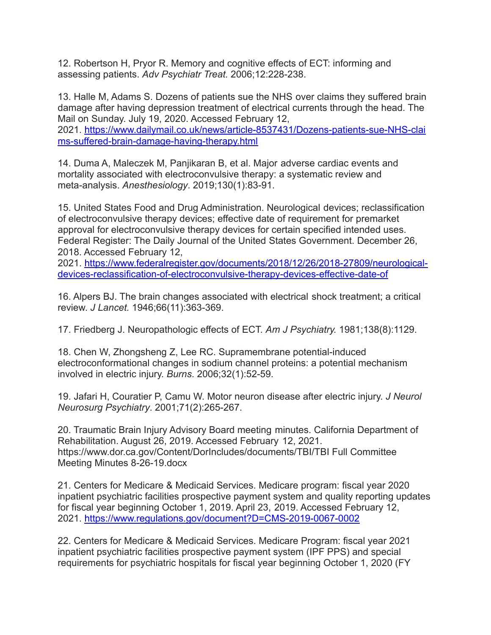12. Robertson H, Pryor R. Memory and cognitive effects of ECT: informing and assessing patients. *Adv Psychiatr Treat.* 2006;12:228-238.

13. Halle M, Adams S. Dozens of patients sue the NHS over claims they suffered brain damage after having depression treatment of electrical currents through the head. The Mail on Sunday. July 19, 2020. Accessed February 12, 2021. [https://www.dailymail.co.uk/news/article-8537431/Dozens-patients-sue-NHS-clai](https://www.dailymail.co.uk/news/article-8537431/Dozens-patients-sue-NHS-claims-suffered-brain-damage-having-therapy.html) [ms-suffered-brain-damage-having-therapy.html](https://www.dailymail.co.uk/news/article-8537431/Dozens-patients-sue-NHS-claims-suffered-brain-damage-having-therapy.html)

14. Duma A, Maleczek M, Panjikaran B, et al. Major adverse cardiac events and mortality associated with electroconvulsive therapy: a systematic review and meta-analysis. *Anesthesiology*. 2019;130(1):83-91.

15. United States Food and Drug Administration. Neurological devices; reclassification of electroconvulsive therapy devices; effective date of requirement for premarket approval for electroconvulsive therapy devices for certain specified intended uses. Federal Register: The Daily Journal of the United States Government. December 26, 2018. Accessed February 12,

2021. [https://www.federalregister.gov/documents/2018/12/26/2018-27809/neurological](https://www.federalregister.gov/documents/2018/12/26/2018-27809/neurological-devices-reclassification-of-electroconvulsive-therapy-devices-effective-date-of)[devices-reclassification-of-electroconvulsive-therapy-devices-effective-date-of](https://www.federalregister.gov/documents/2018/12/26/2018-27809/neurological-devices-reclassification-of-electroconvulsive-therapy-devices-effective-date-of)

16. Alpers BJ. The brain changes associated with electrical shock treatment; a critical review. *J Lancet.* 1946;66(11):363-369.

17. Friedberg J. Neuropathologic effects of ECT. *Am J Psychiatry.* 1981;138(8):1129.

18. Chen W, Zhongsheng Z, Lee RC. Supramembrane potential-induced electroconformational changes in sodium channel proteins: a potential mechanism involved in electric injury. *Burns*. 2006;32(1):52-59.

19. Jafari H, Couratier P, Camu W. Motor neuron disease after electric injury. *J Neurol Neurosurg Psychiatry*. 2001;71(2):265-267.

20. Traumatic Brain Injury Advisory Board meeting minutes. California Department of Rehabilitation. August 26, 2019. Accessed February 12, 2021. https://www.dor.ca.gov/Content/DorIncludes/documents/TBI/TBI Full Committee Meeting Minutes 8-26-19.docx

21. Centers for Medicare & Medicaid Services. Medicare program: fiscal year 2020 inpatient psychiatric facilities prospective payment system and quality reporting updates for fiscal year beginning October 1, 2019. April 23, 2019. Accessed February 12, 2021. <https://www.regulations.gov/document?D=CMS-2019-0067-0002>

22. Centers for Medicare & Medicaid Services. Medicare Program: fiscal year 2021 inpatient psychiatric facilities prospective payment system (IPF PPS) and special requirements for psychiatric hospitals for fiscal year beginning October 1, 2020 (FY